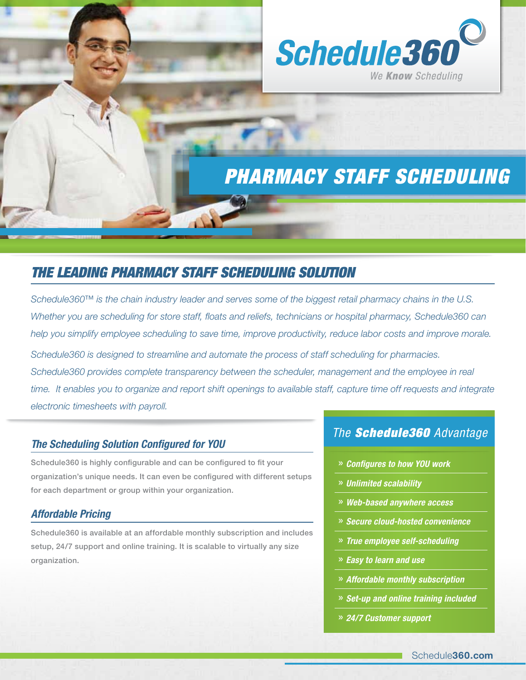

# *PHARMACY STAFF SCHEDULING*

## *The Leading Pharmacy Staff Scheduling Solution*

*Schedule360™ is the chain industry leader and serves some of the biggest retail pharmacy chains in the U.S. Whether you are scheduling for store staff, floats and reliefs, technicians or hospital pharmacy, Schedule360 can help you simplify employee scheduling to save time, improve productivity, reduce labor costs and improve morale. Schedule360 is designed to streamline and automate the process of staff scheduling for pharmacies. Schedule360 provides complete transparency between the scheduler, management and the employee in real* 

*time. It enables you to organize and report shift openings to available staff, capture time off requests and integrate electronic timesheets with payroll.* 

### *The Scheduling Solution Configured for YOU*

Schedule360 is highly configurable and can be configured to fit your organization's unique needs. It can even be configured with different setups for each department or group within your organization.

## *Affordable Pricing*

Schedule360 is available at an affordable monthly subscription and includes setup, 24/7 support and online training. It is scalable to virtually any size organization.

## *The Schedule360 Advantage*

- » *Configures to how YOU work*
- » *Unlimited scalability*
- » *Web-based anywhere access*
- » *Secure cloud-hosted convenience*
- » *True employee self-scheduling*
- » *Easy to learn and use*
- » *Affordable monthly subscription*
- » *Set-up and online training included*
- » *24/7 Customer support*